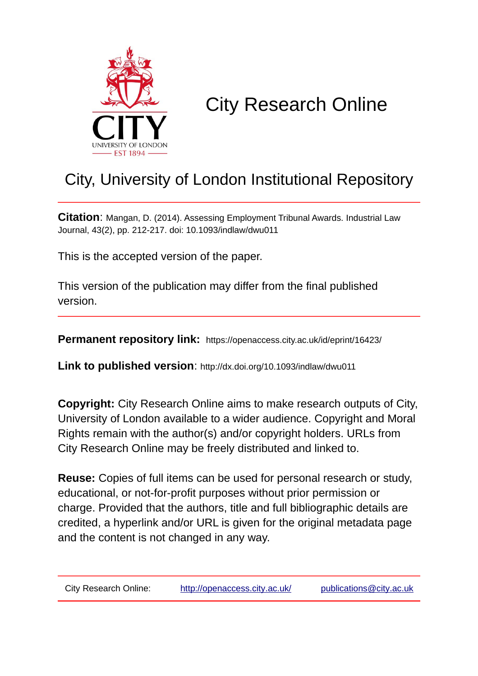

# City Research Online

## City, University of London Institutional Repository

**Citation**: Mangan, D. (2014). Assessing Employment Tribunal Awards. Industrial Law Journal, 43(2), pp. 212-217. doi: 10.1093/indlaw/dwu011

This is the accepted version of the paper.

This version of the publication may differ from the final published version.

**Permanent repository link:** https://openaccess.city.ac.uk/id/eprint/16423/

**Link to published version**: http://dx.doi.org/10.1093/indlaw/dwu011

**Copyright:** City Research Online aims to make research outputs of City, University of London available to a wider audience. Copyright and Moral Rights remain with the author(s) and/or copyright holders. URLs from City Research Online may be freely distributed and linked to.

**Reuse:** Copies of full items can be used for personal research or study, educational, or not-for-profit purposes without prior permission or charge. Provided that the authors, title and full bibliographic details are credited, a hyperlink and/or URL is given for the original metadata page and the content is not changed in any way.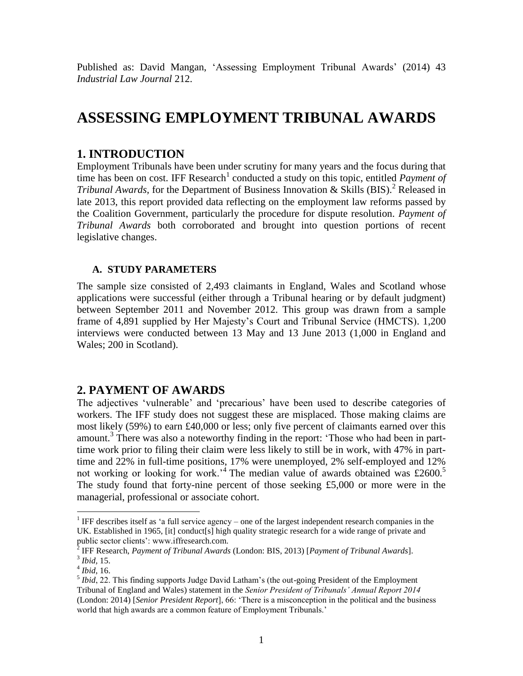Published as: David Mangan, 'Assessing Employment Tribunal Awards' (2014) 43 *Industrial Law Journal* 212.

## **ASSESSING EMPLOYMENT TRIBUNAL AWARDS**

## **1. INTRODUCTION**

Employment Tribunals have been under scrutiny for many years and the focus during that time has been on cost. IFF Research<sup>1</sup> conducted a study on this topic, entitled *Payment of Tribunal Awards,* for the Department of Business Innovation & Skills (BIS).<sup>2</sup> Released in late 2013, this report provided data reflecting on the employment law reforms passed by the Coalition Government, particularly the procedure for dispute resolution. *Payment of Tribunal Awards* both corroborated and brought into question portions of recent legislative changes.

#### **A. STUDY PARAMETERS**

The sample size consisted of 2,493 claimants in England, Wales and Scotland whose applications were successful (either through a Tribunal hearing or by default judgment) between September 2011 and November 2012. This group was drawn from a sample frame of 4,891 supplied by Her Majesty's Court and Tribunal Service (HMCTS). 1,200 interviews were conducted between 13 May and 13 June 2013 (1,000 in England and Wales; 200 in Scotland).

## **2. PAYMENT OF AWARDS**

The adjectives 'vulnerable' and 'precarious' have been used to describe categories of workers. The IFF study does not suggest these are misplaced. Those making claims are most likely (59%) to earn £40,000 or less; only five percent of claimants earned over this amount.<sup>3</sup> There was also a noteworthy finding in the report: 'Those who had been in parttime work prior to filing their claim were less likely to still be in work, with 47% in parttime and 22% in full-time positions, 17% were unemployed, 2% self-employed and 12% not working or looking for work.<sup>4</sup> The median value of awards obtained was £2600.<sup>5</sup> The study found that forty-nine percent of those seeking £5,000 or more were in the managerial, professional or associate cohort.

<sup>&</sup>lt;sup>1</sup> IFF describes itself as 'a full service agency – one of the largest independent research companies in the UK. Established in 1965, [it] conduct[s] high quality strategic research for a wide range of private and public sector clients': www.iffresearch.com.

 $\overline{2}$ IFF Research, *Payment of Tribunal Awards* (London: BIS, 2013) [*Payment of Tribunal Awards*]. 3 *Ibid,* 15.

<sup>4</sup> *Ibid*, 16.

<sup>&</sup>lt;sup>5</sup> Ibid, 22. This finding supports Judge David Latham's (the out-going President of the Employment Tribunal of England and Wales) statement in the *Senior President of Tribunals' Annual Report 2014*  (London: 2014) [*Senior President Report*], 66: 'There is a misconception in the political and the business world that high awards are a common feature of Employment Tribunals.'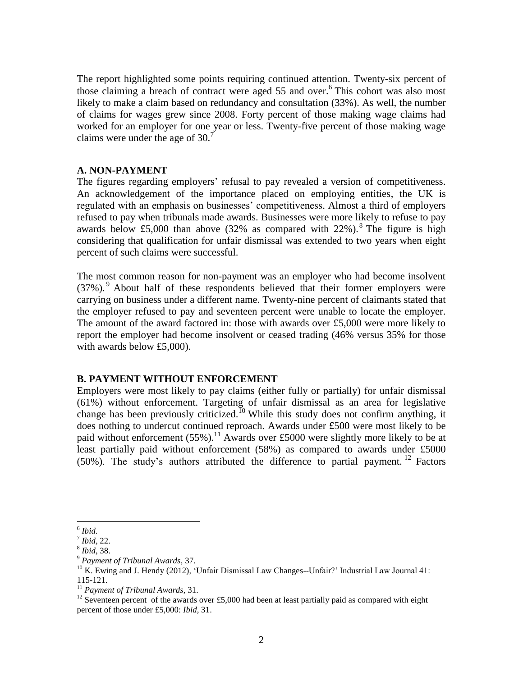The report highlighted some points requiring continued attention. Twenty-six percent of those claiming a breach of contract were aged 55 and over.<sup>6</sup> This cohort was also most likely to make a claim based on redundancy and consultation (33%). As well, the number of claims for wages grew since 2008. Forty percent of those making wage claims had worked for an employer for one year or less. Twenty-five percent of those making wage claims were under the age of  $30<sup>7</sup>$ 

#### **A. NON-PAYMENT**

The figures regarding employers' refusal to pay revealed a version of competitiveness. An acknowledgement of the importance placed on employing entities, the UK is regulated with an emphasis on businesses' competitiveness. Almost a third of employers refused to pay when tribunals made awards. Businesses were more likely to refuse to pay awards below £5,000 than above  $(32\%$  as compared with  $22\%$ ). <sup>8</sup> The figure is high considering that qualification for unfair dismissal was extended to two years when eight percent of such claims were successful.

The most common reason for non-payment was an employer who had become insolvent  $(37\%)$ . About half of these respondents believed that their former employers were carrying on business under a different name. Twenty-nine percent of claimants stated that the employer refused to pay and seventeen percent were unable to locate the employer. The amount of the award factored in: those with awards over £5,000 were more likely to report the employer had become insolvent or ceased trading (46% versus 35% for those with awards below £5,000).

#### **B. PAYMENT WITHOUT ENFORCEMENT**

Employers were most likely to pay claims (either fully or partially) for unfair dismissal (61%) without enforcement. Targeting of unfair dismissal as an area for legislative change has been previously criticized.<sup>10</sup> While this study does not confirm anything, it does nothing to undercut continued reproach. Awards under £500 were most likely to be paid without enforcement  $(55\%)$ .<sup>11</sup> Awards over £5000 were slightly more likely to be at least partially paid without enforcement (58%) as compared to awards under £5000 (50%). The study's authors attributed the difference to partial payment. <sup>12</sup> Factors

<sup>6</sup> *Ibid.*

<sup>7</sup> *Ibid,* 22.

<sup>8</sup> *Ibid*, 38.

<sup>9</sup> *Payment of Tribunal Awards*, 37.

<sup>&</sup>lt;sup>10</sup> K. Ewing and J. Hendy (2012), 'Unfair Dismissal Law Changes--Unfair?' Industrial Law Journal 41: 115-121.

<sup>11</sup> *Payment of Tribunal Awards*, 31.

<sup>&</sup>lt;sup>12</sup> Seventeen percent of the awards over £5,000 had been at least partially paid as compared with eight percent of those under £5,000: *Ibid*, 31.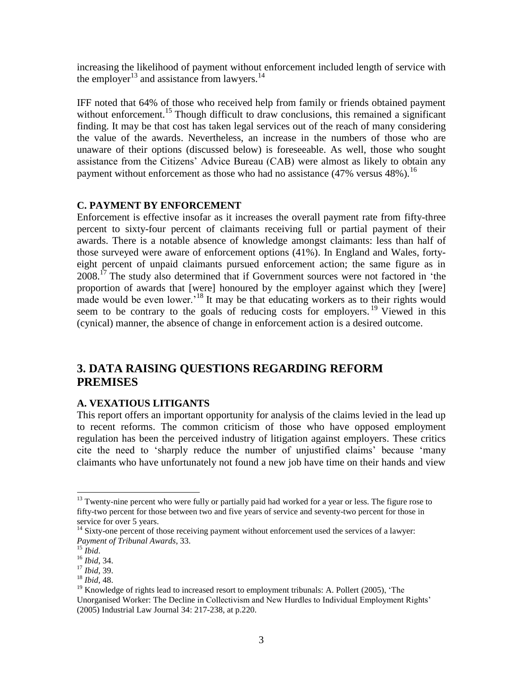increasing the likelihood of payment without enforcement included length of service with the employer<sup>13</sup> and assistance from lawyers.<sup>14</sup>

IFF noted that 64% of those who received help from family or friends obtained payment without enforcement.<sup>15</sup> Though difficult to draw conclusions, this remained a significant finding. It may be that cost has taken legal services out of the reach of many considering the value of the awards. Nevertheless, an increase in the numbers of those who are unaware of their options (discussed below) is foreseeable. As well, those who sought assistance from the Citizens' Advice Bureau (CAB) were almost as likely to obtain any payment without enforcement as those who had no assistance  $(47\% \text{ versus } 48\%)$ .<sup>16</sup>

#### **C. PAYMENT BY ENFORCEMENT**

Enforcement is effective insofar as it increases the overall payment rate from fifty-three percent to sixty-four percent of claimants receiving full or partial payment of their awards. There is a notable absence of knowledge amongst claimants: less than half of those surveyed were aware of enforcement options (41%). In England and Wales, fortyeight percent of unpaid claimants pursued enforcement action; the same figure as in  $2008<sup>17</sup>$  The study also determined that if Government sources were not factored in 'the proportion of awards that [were] honoured by the employer against which they [were] made would be even lower.<sup>18</sup> It may be that educating workers as to their rights would seem to be contrary to the goals of reducing costs for employers.<sup>19</sup> Viewed in this (cynical) manner, the absence of change in enforcement action is a desired outcome.

## **3. DATA RAISING QUESTIONS REGARDING REFORM PREMISES**

#### **A. VEXATIOUS LITIGANTS**

This report offers an important opportunity for analysis of the claims levied in the lead up to recent reforms. The common criticism of those who have opposed employment regulation has been the perceived industry of litigation against employers. These critics cite the need to 'sharply reduce the number of unjustified claims' because 'many claimants who have unfortunately not found a new job have time on their hands and view

<sup>&</sup>lt;sup>13</sup> Twenty-nine percent who were fully or partially paid had worked for a year or less. The figure rose to fifty-two percent for those between two and five years of service and seventy-two percent for those in service for over 5 years.

<sup>&</sup>lt;sup>14</sup> Sixty-one percent of those receiving payment without enforcement used the services of a lawyer: *Payment of Tribunal Awards*, 33.

<sup>15</sup> *Ibid*.

<sup>16</sup> *Ibid*, 34.

<sup>17</sup> *Ibid,* 39.

<sup>18</sup> *Ibid,* 48.

 $19$  Knowledge of rights lead to increased resort to employment tribunals: A. Pollert (2005), 'The Unorganised Worker: The Decline in Collectivism and New Hurdles to Individual Employment Rights' (2005) Industrial Law Journal 34: 217-238, at p.220.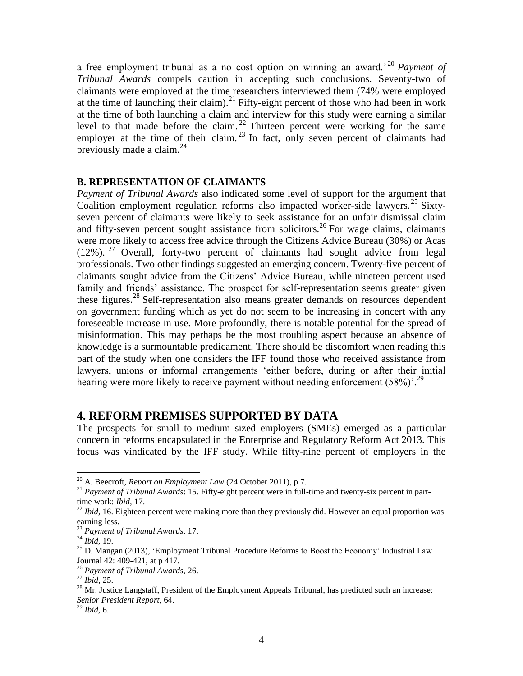a free employment tribunal as a no cost option on winning an award.' <sup>20</sup> *Payment of Tribunal Awards* compels caution in accepting such conclusions. Seventy-two of claimants were employed at the time researchers interviewed them (74% were employed at the time of launching their claim).<sup>21</sup> Fifty-eight percent of those who had been in work at the time of both launching a claim and interview for this study were earning a similar level to that made before the claim.<sup>22</sup> Thirteen percent were working for the same employer at the time of their claim.<sup>23</sup> In fact, only seven percent of claimants had previously made a claim.<sup>24</sup>

#### **B. REPRESENTATION OF CLAIMANTS**

*Payment of Tribunal Awards* also indicated some level of support for the argument that Coalition employment regulation reforms also impacted worker-side lawyers.<sup>25</sup> Sixtyseven percent of claimants were likely to seek assistance for an unfair dismissal claim and fifty-seven percent sought assistance from solicitors.<sup>26</sup> For wage claims, claimants were more likely to access free advice through the Citizens Advice Bureau (30%) or Acas (12%). <sup>27</sup> Overall, forty-two percent of claimants had sought advice from legal professionals. Two other findings suggested an emerging concern. Twenty-five percent of claimants sought advice from the Citizens' Advice Bureau, while nineteen percent used family and friends' assistance. The prospect for self-representation seems greater given these figures.<sup>28</sup> Self-representation also means greater demands on resources dependent on government funding which as yet do not seem to be increasing in concert with any foreseeable increase in use. More profoundly, there is notable potential for the spread of misinformation. This may perhaps be the most troubling aspect because an absence of knowledge is a surmountable predicament. There should be discomfort when reading this part of the study when one considers the IFF found those who received assistance from lawyers, unions or informal arrangements 'either before, during or after their initial hearing were more likely to receive payment without needing enforcement  $(58\%)$ .<sup>29</sup>

#### **4. REFORM PREMISES SUPPORTED BY DATA**

The prospects for small to medium sized employers (SMEs) emerged as a particular concern in reforms encapsulated in the Enterprise and Regulatory Reform Act 2013. This focus was vindicated by the IFF study. While fifty-nine percent of employers in the

l

<sup>20</sup> A. Beecroft, *Report on Employment Law* (24 October 2011), p 7.

<sup>&</sup>lt;sup>21</sup> Payment of Tribunal Awards: 15. Fifty-eight percent were in full-time and twenty-six percent in parttime work: *Ibid,* 17.

<sup>&</sup>lt;sup>22</sup> *Ibid*, 16. Eighteen percent were making more than they previously did. However an equal proportion was earning less.

<sup>23</sup> *Payment of Tribunal Awards,* 17.

<sup>24</sup> *Ibid,* 19.

 $25$  D. Mangan (2013), 'Employment Tribunal Procedure Reforms to Boost the Economy' Industrial Law Journal 42: 409-421, at p 417.

<sup>26</sup> *Payment of Tribunal Awards,* 26.

<sup>27</sup> *Ibid*, 25.

<sup>&</sup>lt;sup>28</sup> Mr. Justice Langstaff, President of the Employment Appeals Tribunal, has predicted such an increase: *Senior President Report*, 64.

<sup>29</sup> *Ibid,* 6.